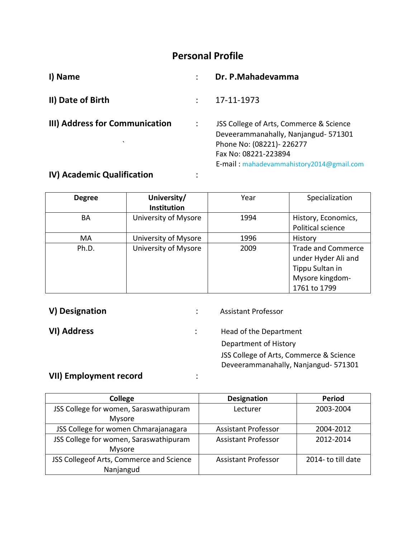# **Personal Profile**

| I) Name                                   | Dr. P.Mahadevamma                                                                                                                                                               |
|-------------------------------------------|---------------------------------------------------------------------------------------------------------------------------------------------------------------------------------|
| II) Date of Birth                         | 17-11-1973                                                                                                                                                                      |
| III) Address for Communication<br>$\cdot$ | JSS College of Arts, Commerce & Science<br>Deveerammanahally, Nanjangud- 571301<br>Phone No: (08221)-226277<br>Fax No: 08221-223894<br>E-mail: mahadevammahistory2014@gmail.com |
| $\mathbf{A}$                              |                                                                                                                                                                                 |

## **IV) Academic Qualification** :

| <b>Degree</b> | University/<br><b>Institution</b> | Year | Specialization                                                                                         |
|---------------|-----------------------------------|------|--------------------------------------------------------------------------------------------------------|
| BA            | University of Mysore              | 1994 | History, Economics,<br>Political science                                                               |
| MA            | University of Mysore              | 1996 | History                                                                                                |
| Ph.D.         | University of Mysore              | 2009 | <b>Trade and Commerce</b><br>under Hyder Ali and<br>Tippu Sultan in<br>Mysore kingdom-<br>1761 to 1799 |

**V) Designation in the Second Second Contract Contract Contract Contract Contract Contract Contract Contract Contract Contract Contract Contract Contract Contract Contract Contract Contract Contract Contract Contract Con** 

**VI) Address in the UP of the UP of the Department**  Department of History JSS College of Arts, Commerce & Science Deveerammanahally, Nanjangud- 571301

# **VII) Employment record** :

| College                                  | <b>Designation</b>         | <b>Period</b>     |  |
|------------------------------------------|----------------------------|-------------------|--|
| JSS College for women, Saraswathipuram   | Lecturer                   | 2003-2004         |  |
| Mysore                                   |                            |                   |  |
| JSS College for women Chmarajanagara     | <b>Assistant Professor</b> | 2004-2012         |  |
| JSS College for women, Saraswathipuram   | <b>Assistant Professor</b> | 2012-2014         |  |
| Mysore                                   |                            |                   |  |
| JSS Collegeof Arts, Commerce and Science | <b>Assistant Professor</b> | 2014-to till date |  |
| Nanjangud                                |                            |                   |  |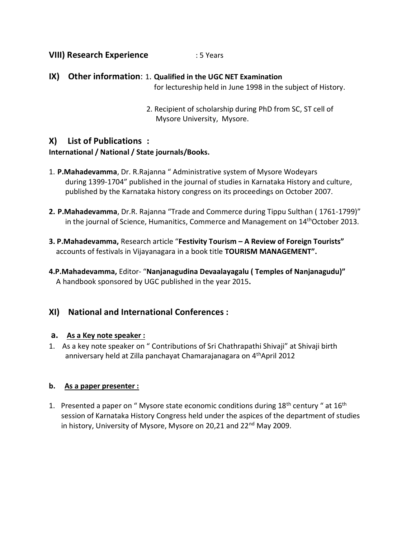## **VIII) Research Experience** : 5 Years

- **IX) Other information**: 1. **Qualified in the UGC NET Examination** for lectureship held in June 1998 in the subject of History.
	- 2. Recipient of scholarship during PhD from SC, ST cell of Mysore University, Mysore.

## **X) List of Publications : International / National / State journals/Books.**

- 1. **P.Mahadevamma**, Dr. R.Rajanna " Administrative system of Mysore Wodeyars during 1399-1704" published in the journal of studies in Karnataka History and culture, published by the Karnataka history congress on its proceedings on October 2007.
- **2. P.Mahadevamma**, Dr.R. Rajanna "Trade and Commerce during Tippu Sulthan ( 1761-1799)" in the journal of Science, Humanitics, Commerce and Management on 14<sup>th</sup>October 2013.
- **3. P.Mahadevamma,** Research article "**Festivity Tourism – A Review of Foreign Tourists"** accounts of festivals in Vijayanagara in a book title **TOURISM MANAGEMENT".**
- **4.P.Mahadevamma,** Editor- "**Nanjanagudina Devaalayagalu ( Temples of Nanjanagudu)"** A handbook sponsored by UGC published in the year 2015**.**

## **XI) National and International Conferences :**

### **a. As a Key note speaker :**

1. As a key note speaker on " Contributions of Sri Chathrapathi Shivaji" at Shivaji birth anniversary held at Zilla panchayat Chamarajanagara on 4<sup>th</sup>April 2012

## **b. As a paper presenter :**

1. Presented a paper on " Mysore state economic conditions during  $18<sup>th</sup>$  century " at  $16<sup>th</sup>$ session of Karnataka History Congress held under the aspices of the department of studies in history, University of Mysore, Mysore on 20,21 and 22<sup>nd</sup> May 2009.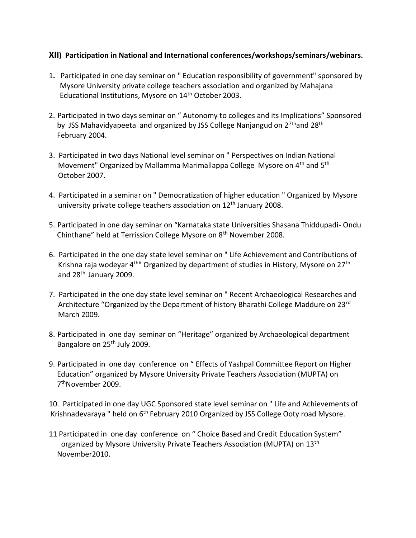### **XII) Participation in National and International conferences/workshops/seminars/webinars.**

- 1**.** Participated in one day seminar on " Education responsibility of government" sponsored by Mysore University private college teachers association and organized by Mahajana Educational Institutions, Mysore on 14th October 2003.
- 2. Participated in two days seminar on " Autonomy to colleges and its Implications" Sponsored by JSS Mahavidyapeeta and organized by JSS College Nanjangud on  $2^{7th}$ and  $28^{th}$ February 2004.
- 3. Participated in two days National level seminar on " Perspectives on Indian National Movement" Organized by Mallamma Marimallappa College Mysore on 4<sup>th</sup> and 5<sup>th</sup> October 2007.
- 4. Participated in a seminar on " Democratization of higher education " Organized by Mysore university private college teachers association on  $12<sup>th</sup>$  January 2008.
- 5. Participated in one day seminar on "Karnataka state Universities Shasana Thiddupadi- Ondu Chinthane" held at Terrission College Mysore on 8<sup>th</sup> November 2008.
- 6. Participated in the one day state level seminar on " Life Achievement and Contributions of Krishna raja wodeyar 4<sup>th"</sup> Organized by department of studies in History, Mysore on 27<sup>th</sup> and 28th January 2009.
- 7. Participated in the one day state level seminar on " Recent Archaeological Researches and Architecture "Organized by the Department of history Bharathi College Maddure on 23rd March 2009.
- 8. Participated in one day seminar on "Heritage" organized by Archaeological department Bangalore on 25<sup>th</sup> July 2009.
- 9. Participated in one day conference on " Effects of Yashpal Committee Report on Higher Education" organized by Mysore University Private Teachers Association (MUPTA) on 7<sup>th</sup>November 2009.

10. Participated in one day UGC Sponsored state level seminar on " Life and Achievements of Krishnadevaraya " held on 6<sup>th</sup> February 2010 Organized by JSS College Ooty road Mysore.

11 Participated in one day conference on " Choice Based and Credit Education System" organized by Mysore University Private Teachers Association (MUPTA) on 13<sup>th</sup> November2010.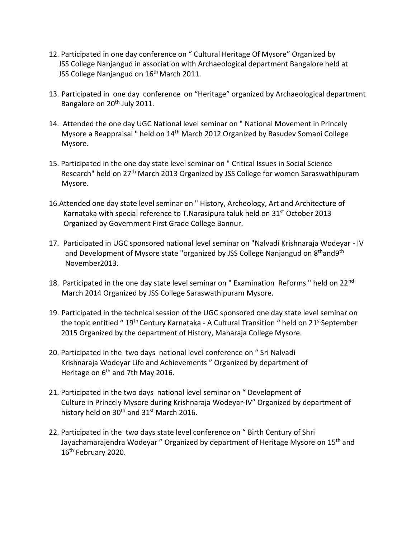- 12. Participated in one day conference on " Cultural Heritage Of Mysore" Organized by JSS College Nanjangud in association with Archaeological department Bangalore held at JSS College Nanjangud on 16<sup>th</sup> March 2011.
- 13. Participated in one day conference on "Heritage" organized by Archaeological department Bangalore on 20<sup>th</sup> July 2011.
- 14. Attended the one day UGC National level seminar on " National Movement in Princely Mysore a Reappraisal " held on 14<sup>th</sup> March 2012 Organized by Basudev Somani College Mysore.
- 15. Participated in the one day state level seminar on " Critical Issues in Social Science Research" held on 27<sup>th</sup> March 2013 Organized by JSS College for women Saraswathipuram Mysore.
- 16.Attended one day state level seminar on " History, Archeology, Art and Architecture of Karnataka with special reference to T.Narasipura taluk held on 31<sup>st</sup> October 2013 Organized by Government First Grade College Bannur.
- 17. Participated in UGC sponsored national level seminar on "Nalvadi Krishnaraja Wodeyar IV and Development of Mysore state "organized by JSS College Nanjangud on 8<sup>th</sup>and9<sup>th</sup> November2013.
- 18. Participated in the one day state level seminar on " Examination Reforms " held on 22<sup>nd</sup> March 2014 Organized by JSS College Saraswathipuram Mysore.
- 19. Participated in the technical session of the UGC sponsored one day state level seminar on the topic entitled " 19<sup>th</sup> Century Karnataka - A Cultural Transition " held on 21<sup>st</sup>September 2015 Organized by the department of History, Maharaja College Mysore.
- 20. Participated in the two days national level conference on " Sri Nalvadi Krishnaraja Wodeyar Life and Achievements " Organized by department of Heritage on 6<sup>th</sup> and 7th May 2016.
- 21. Participated in the two days national level seminar on " Development of Culture in Princely Mysore during Krishnaraja Wodeyar-IV" Organized by department of history held on  $30<sup>th</sup>$  and  $31<sup>st</sup>$  March 2016.
- 22. Participated in the two days state level conference on " Birth Century of Shri Jayachamarajendra Wodeyar " Organized by department of Heritage Mysore on 15<sup>th</sup> and 16<sup>th</sup> February 2020.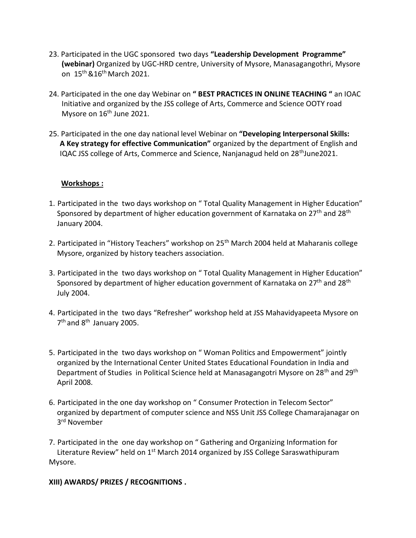- 23. Participated in the UGC sponsored two days **"Leadership Development Programme" (webinar)** Organized by UGC-HRD centre, University of Mysore, Manasagangothri, Mysore on 15th &16th March 2021.
- 24. Participated in the one day Webinar on **" BEST PRACTICES IN ONLINE TEACHING "** an IOAC Initiative and organized by the JSS college of Arts, Commerce and Science OOTY road Mysore on 16<sup>th</sup> June 2021.
- 25. Participated in the one day national level Webinar on **"Developing Interpersonal Skills: A Key strategy for effective Communication"** organized by the department of English and IQAC JSS college of Arts, Commerce and Science, Nanjanagud held on 28<sup>th</sup>June2021.

### **Workshops :**

- 1. Participated in the two days workshop on " Total Quality Management in Higher Education" Sponsored by department of higher education government of Karnataka on 27<sup>th</sup> and 28<sup>th</sup> January 2004.
- 2. Participated in "History Teachers" workshop on 25<sup>th</sup> March 2004 held at Maharanis college Mysore, organized by history teachers association.
- 3. Participated in the two days workshop on " Total Quality Management in Higher Education" Sponsored by department of higher education government of Karnataka on 27<sup>th</sup> and 28<sup>th</sup> July 2004.
- 4. Participated in the two days "Refresher" workshop held at JSS Mahavidyapeeta Mysore on 7<sup>th</sup> and 8<sup>th</sup> January 2005.
- 5. Participated in the two days workshop on " Woman Politics and Empowerment" jointly organized by the International Center United States Educational Foundation in India and Department of Studies in Political Science held at Manasagangotri Mysore on 28<sup>th</sup> and 29<sup>th</sup> April 2008.
- 6. Participated in the one day workshop on " Consumer Protection in Telecom Sector" organized by department of computer science and NSS Unit JSS College Chamarajanagar on 3 rd November
- 7. Participated in the one day workshop on " Gathering and Organizing Information for Literature Review" held on 1<sup>st</sup> March 2014 organized by JSS College Saraswathipuram Mysore.

#### **XIII) AWARDS/ PRIZES / RECOGNITIONS .**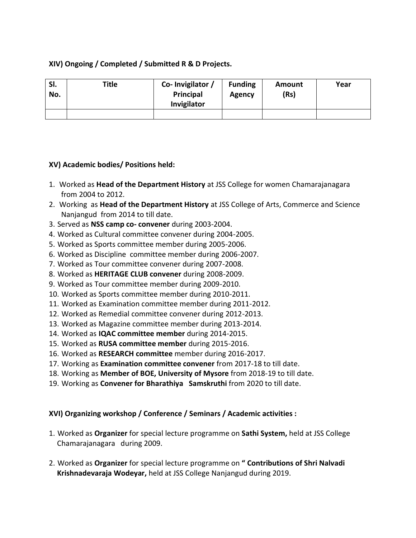### **XIV) Ongoing / Completed / Submitted R & D Projects.**

| SI.<br>No. | <b>Title</b> | Co-Invigilator /<br>Principal<br>Invigilator | <b>Funding</b><br>Agency | <b>Amount</b><br>(Rs) | Year |
|------------|--------------|----------------------------------------------|--------------------------|-----------------------|------|
|            |              |                                              |                          |                       |      |

### **XV) Academic bodies/ Positions held:**

- 1. Worked as **Head of the Department History** at JSS College for women Chamarajanagara from 2004 to 2012.
- 2. Working as **Head of the Department History** at JSS College of Arts, Commerce and Science Nanjangud from 2014 to till date.
- 3. Served as **NSS camp co- convener** during 2003-2004.
- 4. Worked as Cultural committee convener during 2004-2005.
- 5. Worked as Sports committee member during 2005-2006.
- 6. Worked as Discipline committee member during 2006-2007.
- 7. Worked as Tour committee convener during 2007-2008.
- 8. Worked as **HERITAGE CLUB convener** during 2008-2009.
- 9. Worked as Tour committee member during 2009-2010.
- 10. Worked as Sports committee member during 2010-2011.
- 11. Worked as Examination committee member during 2011-2012.
- 12. Worked as Remedial committee convener during 2012-2013.
- 13. Worked as Magazine committee member during 2013-2014.
- 14. Worked as **IQAC committee member** during 2014-2015.
- 15. Worked as **RUSA committee member** during 2015-2016.
- 16. Worked as **RESEARCH committee** member during 2016-2017.
- 17. Working as **Examination committee convener** from 2017-18 to till date.
- 18. Working as **Member of BOE, University of Mysore** from 2018-19 to till date.
- 19. Working as **Convener for Bharathiya Samskruthi** from 2020 to till date.

### **XVI) Organizing workshop / Conference / Seminars / Academic activities :**

- 1. Worked as **Organizer** for special lecture programme on **Sathi System,** held at JSS College Chamarajanagara during 2009.
- 2. Worked as **Organizer** for special lecture programme on **" Contributions of Shri Nalvadi Krishnadevaraja Wodeyar,** held at JSS College Nanjangud during 2019.